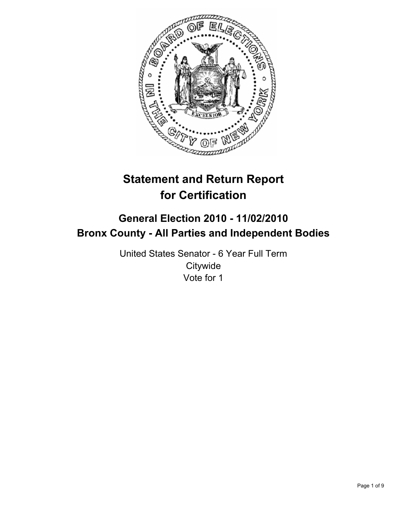

# **Statement and Return Report for Certification**

## **General Election 2010 - 11/02/2010 Bronx County - All Parties and Independent Bodies**

United States Senator - 6 Year Full Term **Citywide** Vote for 1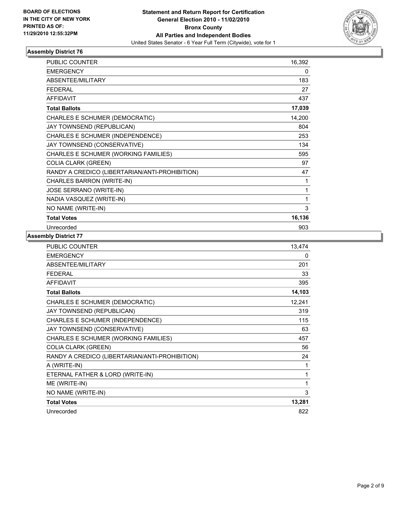

| PUBLIC COUNTER                                 | 16,392 |
|------------------------------------------------|--------|
| <b>EMERGENCY</b>                               | 0      |
| ABSENTEE/MILITARY                              | 183    |
| <b>FFDFRAL</b>                                 | 27     |
| <b>AFFIDAVIT</b>                               | 437    |
| <b>Total Ballots</b>                           | 17,039 |
| CHARLES E SCHUMER (DEMOCRATIC)                 | 14,200 |
| JAY TOWNSEND (REPUBLICAN)                      | 804    |
| CHARLES E SCHUMER (INDEPENDENCE)               | 253    |
| JAY TOWNSEND (CONSERVATIVE)                    | 134    |
| CHARLES E SCHUMER (WORKING FAMILIES)           | 595    |
| <b>COLIA CLARK (GREEN)</b>                     | 97     |
| RANDY A CREDICO (LIBERTARIAN/ANTI-PROHIBITION) | 47     |
| CHARLES BARRON (WRITE-IN)                      | 1      |
| <b>JOSE SERRANO (WRITE-IN)</b>                 | 1      |
| NADIA VASQUEZ (WRITE-IN)                       | 1      |
| NO NAME (WRITE-IN)                             | 3      |
| <b>Total Votes</b>                             | 16,136 |
| Unrecorded                                     | 903    |

| <b>PUBLIC COUNTER</b>                          | 13,474 |
|------------------------------------------------|--------|
| <b>EMERGENCY</b>                               | 0      |
| ABSENTEE/MILITARY                              | 201    |
| <b>FEDERAL</b>                                 | 33     |
| <b>AFFIDAVIT</b>                               | 395    |
| <b>Total Ballots</b>                           | 14,103 |
| CHARLES E SCHUMER (DEMOCRATIC)                 | 12,241 |
| JAY TOWNSEND (REPUBLICAN)                      | 319    |
| CHARLES E SCHUMER (INDEPENDENCE)               | 115    |
| JAY TOWNSEND (CONSERVATIVE)                    | 63     |
| CHARLES E SCHUMER (WORKING FAMILIES)           | 457    |
| <b>COLIA CLARK (GREEN)</b>                     | 56     |
| RANDY A CREDICO (LIBERTARIAN/ANTI-PROHIBITION) | 24     |
| A (WRITE-IN)                                   | 1      |
| ETERNAL FATHER & LORD (WRITE-IN)               | 1      |
| ME (WRITE-IN)                                  | 1      |
| NO NAME (WRITE-IN)                             | 3      |
| <b>Total Votes</b>                             | 13,281 |
| Unrecorded                                     | 822    |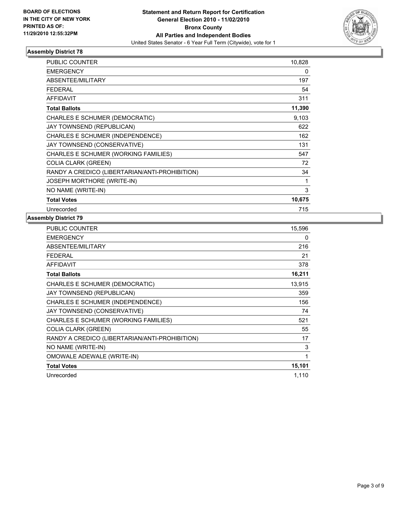

| <b>PUBLIC COUNTER</b>                          | 10,828 |
|------------------------------------------------|--------|
| <b>EMERGENCY</b>                               | 0      |
| ABSENTEE/MILITARY                              | 197    |
| <b>FEDERAL</b>                                 | 54     |
| <b>AFFIDAVIT</b>                               | 311    |
| <b>Total Ballots</b>                           | 11,390 |
| CHARLES E SCHUMER (DEMOCRATIC)                 | 9,103  |
| JAY TOWNSEND (REPUBLICAN)                      | 622    |
| <b>CHARLES E SCHUMER (INDEPENDENCE)</b>        | 162    |
| JAY TOWNSEND (CONSERVATIVE)                    | 131    |
| CHARLES E SCHUMER (WORKING FAMILIES)           | 547    |
| <b>COLIA CLARK (GREEN)</b>                     | 72     |
| RANDY A CREDICO (LIBERTARIAN/ANTI-PROHIBITION) | 34     |
| <b>JOSEPH MORTHORE (WRITE-IN)</b>              | 1      |
| NO NAME (WRITE-IN)                             | 3      |
| <b>Total Votes</b>                             | 10,675 |
| Unrecorded                                     | 715    |

| <b>PUBLIC COUNTER</b>                          | 15,596 |
|------------------------------------------------|--------|
| <b>EMERGENCY</b>                               | 0      |
| <b>ABSENTEE/MILITARY</b>                       | 216    |
| <b>FEDERAL</b>                                 | 21     |
| <b>AFFIDAVIT</b>                               | 378    |
| <b>Total Ballots</b>                           | 16,211 |
| CHARLES E SCHUMER (DEMOCRATIC)                 | 13,915 |
| JAY TOWNSEND (REPUBLICAN)                      | 359    |
| CHARLES E SCHUMER (INDEPENDENCE)               | 156    |
| JAY TOWNSEND (CONSERVATIVE)                    | 74     |
| CHARLES E SCHUMER (WORKING FAMILIES)           | 521    |
| <b>COLIA CLARK (GREEN)</b>                     | 55     |
| RANDY A CREDICO (LIBERTARIAN/ANTI-PROHIBITION) | 17     |
| NO NAME (WRITE-IN)                             | 3      |
| OMOWALE ADEWALE (WRITE-IN)                     | 1      |
| <b>Total Votes</b>                             | 15,101 |
| Unrecorded                                     | 1,110  |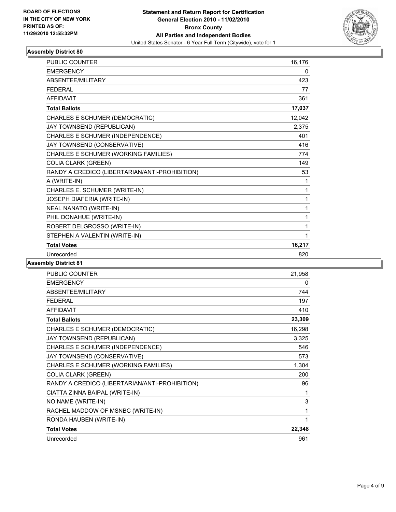

| PUBLIC COUNTER                                 | 16,176 |
|------------------------------------------------|--------|
| <b>EMERGENCY</b>                               | 0      |
| ABSENTEE/MILITARY                              | 423    |
| <b>FEDERAL</b>                                 | 77     |
| <b>AFFIDAVIT</b>                               | 361    |
| <b>Total Ballots</b>                           | 17,037 |
| CHARLES E SCHUMER (DEMOCRATIC)                 | 12,042 |
| JAY TOWNSEND (REPUBLICAN)                      | 2,375  |
| CHARLES E SCHUMER (INDEPENDENCE)               | 401    |
| JAY TOWNSEND (CONSERVATIVE)                    | 416    |
| CHARLES E SCHUMER (WORKING FAMILIES)           | 774    |
| <b>COLIA CLARK (GREEN)</b>                     | 149    |
| RANDY A CREDICO (LIBERTARIAN/ANTI-PROHIBITION) | 53     |
| A (WRITE-IN)                                   | 1      |
| CHARLES E. SCHUMER (WRITE-IN)                  | 1      |
| JOSEPH DIAFERIA (WRITE-IN)                     | 1      |
| <b>NEAL NANATO (WRITE-IN)</b>                  | 1      |
| PHIL DONAHUE (WRITE-IN)                        | 1      |
| ROBERT DELGROSSO (WRITE-IN)                    | 1      |
| STEPHEN A VALENTIN (WRITE-IN)                  | 1      |
| <b>Total Votes</b>                             | 16,217 |
| Unrecorded                                     | 820    |

| <b>PUBLIC COUNTER</b>                          | 21,958 |
|------------------------------------------------|--------|
| <b>EMERGENCY</b>                               | 0      |
| ABSENTEE/MILITARY                              | 744    |
| <b>FEDERAL</b>                                 | 197    |
| <b>AFFIDAVIT</b>                               | 410    |
| <b>Total Ballots</b>                           | 23,309 |
| CHARLES E SCHUMER (DEMOCRATIC)                 | 16,298 |
| JAY TOWNSEND (REPUBLICAN)                      | 3,325  |
| CHARLES E SCHUMER (INDEPENDENCE)               | 546    |
| JAY TOWNSEND (CONSERVATIVE)                    | 573    |
| CHARLES E SCHUMER (WORKING FAMILIES)           | 1,304  |
| <b>COLIA CLARK (GREEN)</b>                     | 200    |
| RANDY A CREDICO (LIBERTARIAN/ANTI-PROHIBITION) | 96     |
| CIATTA ZINNA BAIPAL (WRITE-IN)                 | 1      |
| NO NAME (WRITE-IN)                             | 3      |
| RACHEL MADDOW OF MSNBC (WRITE-IN)              | 1      |
| RONDA HAUBEN (WRITE-IN)                        | 1      |
| <b>Total Votes</b>                             | 22,348 |
| Unrecorded                                     | 961    |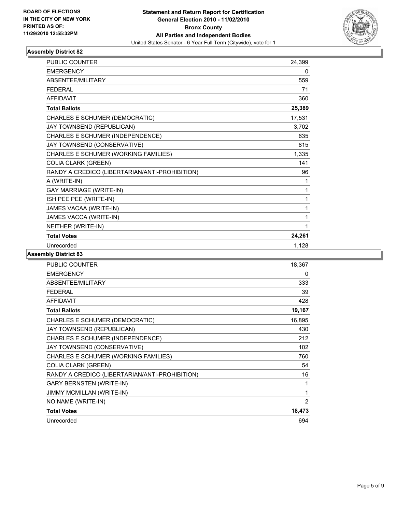

| <b>PUBLIC COUNTER</b>                          | 24,399 |
|------------------------------------------------|--------|
| <b>EMERGENCY</b>                               | 0      |
| <b>ABSENTEE/MILITARY</b>                       | 559    |
| <b>FEDERAL</b>                                 | 71     |
| <b>AFFIDAVIT</b>                               | 360    |
| <b>Total Ballots</b>                           | 25,389 |
| CHARLES E SCHUMER (DEMOCRATIC)                 | 17,531 |
| JAY TOWNSEND (REPUBLICAN)                      | 3,702  |
| CHARLES E SCHUMER (INDEPENDENCE)               | 635    |
| JAY TOWNSEND (CONSERVATIVE)                    | 815    |
| CHARLES E SCHUMER (WORKING FAMILIES)           | 1,335  |
| <b>COLIA CLARK (GREEN)</b>                     | 141    |
| RANDY A CREDICO (LIBERTARIAN/ANTI-PROHIBITION) | 96     |
| A (WRITE-IN)                                   | 1      |
| <b>GAY MARRIAGE (WRITE-IN)</b>                 | 1      |
| ISH PEE PEE (WRITE-IN)                         | 1      |
| JAMES VACAA (WRITE-IN)                         | 1      |
| JAMES VACCA (WRITE-IN)                         | 1      |
| NEITHER (WRITE-IN)                             | 1      |
| <b>Total Votes</b>                             | 24,261 |
| Unrecorded                                     | 1,128  |

| <b>PUBLIC COUNTER</b>                          | 18,367 |
|------------------------------------------------|--------|
| <b>EMERGENCY</b>                               | 0      |
| ABSENTEE/MILITARY                              | 333    |
| <b>FEDERAL</b>                                 | 39     |
| <b>AFFIDAVIT</b>                               | 428    |
| <b>Total Ballots</b>                           | 19,167 |
| CHARLES E SCHUMER (DEMOCRATIC)                 | 16,895 |
| JAY TOWNSEND (REPUBLICAN)                      | 430    |
| CHARLES E SCHUMER (INDEPENDENCE)               | 212    |
| JAY TOWNSEND (CONSERVATIVE)                    | 102    |
| CHARLES E SCHUMER (WORKING FAMILIES)           | 760    |
| <b>COLIA CLARK (GREEN)</b>                     | 54     |
| RANDY A CREDICO (LIBERTARIAN/ANTI-PROHIBITION) | 16     |
| <b>GARY BERNSTEN (WRITE-IN)</b>                | 1      |
| JIMMY MCMILLAN (WRITE-IN)                      | 1      |
| NO NAME (WRITE-IN)                             | 2      |
| <b>Total Votes</b>                             | 18,473 |
| Unrecorded                                     | 694    |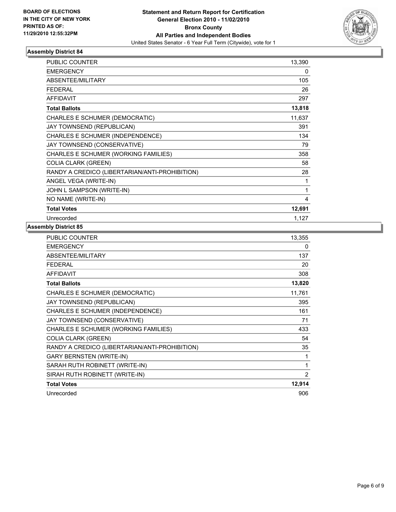

| <b>PUBLIC COUNTER</b>                          | 13,390 |
|------------------------------------------------|--------|
| <b>EMERGENCY</b>                               | 0      |
| <b>ABSENTEE/MILITARY</b>                       | 105    |
| <b>FEDERAL</b>                                 | 26     |
| <b>AFFIDAVIT</b>                               | 297    |
| <b>Total Ballots</b>                           | 13,818 |
| CHARLES E SCHUMER (DEMOCRATIC)                 | 11,637 |
| JAY TOWNSEND (REPUBLICAN)                      | 391    |
| CHARLES E SCHUMER (INDEPENDENCE)               | 134    |
| JAY TOWNSEND (CONSERVATIVE)                    | 79     |
| CHARLES E SCHUMER (WORKING FAMILIES)           | 358    |
| <b>COLIA CLARK (GREEN)</b>                     | 58     |
| RANDY A CREDICO (LIBERTARIAN/ANTI-PROHIBITION) | 28     |
| ANGEL VEGA (WRITE-IN)                          | 1      |
| JOHN L SAMPSON (WRITE-IN)                      | 1      |
| NO NAME (WRITE-IN)                             | 4      |
| <b>Total Votes</b>                             | 12,691 |
| Unrecorded                                     | 1,127  |

| <b>PUBLIC COUNTER</b>                          | 13,355         |
|------------------------------------------------|----------------|
| <b>EMERGENCY</b>                               | 0              |
| <b>ABSENTEE/MILITARY</b>                       | 137            |
| <b>FEDERAL</b>                                 | 20             |
| <b>AFFIDAVIT</b>                               | 308            |
| <b>Total Ballots</b>                           | 13,820         |
| CHARLES E SCHUMER (DEMOCRATIC)                 | 11,761         |
| JAY TOWNSEND (REPUBLICAN)                      | 395            |
| CHARLES E SCHUMER (INDEPENDENCE)               | 161            |
| JAY TOWNSEND (CONSERVATIVE)                    | 71             |
| CHARLES E SCHUMER (WORKING FAMILIES)           | 433            |
| <b>COLIA CLARK (GREEN)</b>                     | 54             |
| RANDY A CREDICO (LIBERTARIAN/ANTI-PROHIBITION) | 35             |
| <b>GARY BERNSTEN (WRITE-IN)</b>                | 1              |
| SARAH RUTH ROBINETT (WRITE-IN)                 | 1              |
| SIRAH RUTH ROBINETT (WRITE-IN)                 | $\overline{2}$ |
| <b>Total Votes</b>                             | 12,914         |
| Unrecorded                                     | 906            |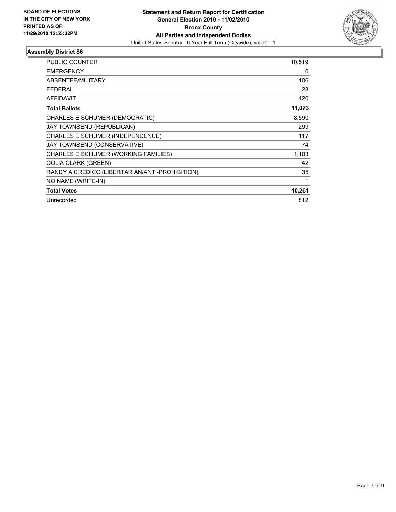

| <b>PUBLIC COUNTER</b>                          | 10,519 |
|------------------------------------------------|--------|
| <b>EMERGENCY</b>                               | 0      |
| ABSENTEE/MILITARY                              | 106    |
| FEDERAL                                        | 28     |
| <b>AFFIDAVIT</b>                               | 420    |
| <b>Total Ballots</b>                           | 11,073 |
| CHARLES E SCHUMER (DEMOCRATIC)                 | 8,590  |
| JAY TOWNSEND (REPUBLICAN)                      | 299    |
| CHARLES E SCHUMER (INDEPENDENCE)               | 117    |
| JAY TOWNSEND (CONSERVATIVE)                    | 74     |
| CHARLES E SCHUMER (WORKING FAMILIES)           | 1,103  |
| <b>COLIA CLARK (GREEN)</b>                     | 42     |
| RANDY A CREDICO (LIBERTARIAN/ANTI-PROHIBITION) | 35     |
| NO NAME (WRITE-IN)                             | 1      |
| <b>Total Votes</b>                             | 10,261 |
| Unrecorded                                     | 812    |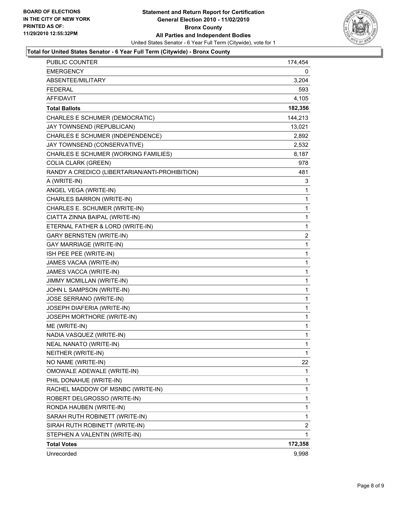

#### **Total for United States Senator - 6 Year Full Term (Citywide) - Bronx County**

| <b>PUBLIC COUNTER</b>                          | 174,454 |
|------------------------------------------------|---------|
| <b>EMERGENCY</b>                               | 0       |
| ABSENTEE/MILITARY                              | 3,204   |
| <b>FEDERAL</b>                                 | 593     |
| <b>AFFIDAVIT</b>                               | 4,105   |
| <b>Total Ballots</b>                           | 182,356 |
| CHARLES E SCHUMER (DEMOCRATIC)                 | 144,213 |
| JAY TOWNSEND (REPUBLICAN)                      | 13,021  |
| CHARLES E SCHUMER (INDEPENDENCE)               | 2,892   |
| JAY TOWNSEND (CONSERVATIVE)                    | 2,532   |
| CHARLES E SCHUMER (WORKING FAMILIES)           | 8,187   |
| <b>COLIA CLARK (GREEN)</b>                     | 978     |
| RANDY A CREDICO (LIBERTARIAN/ANTI-PROHIBITION) | 481     |
| A (WRITE-IN)                                   | 3       |
| ANGEL VEGA (WRITE-IN)                          | 1       |
| CHARLES BARRON (WRITE-IN)                      | 1       |
| CHARLES E. SCHUMER (WRITE-IN)                  | 1       |
| CIATTA ZINNA BAIPAL (WRITE-IN)                 | 1       |
| ETERNAL FATHER & LORD (WRITE-IN)               | 1       |
| <b>GARY BERNSTEN (WRITE-IN)</b>                | 2       |
| GAY MARRIAGE (WRITE-IN)                        | 1       |
| ISH PEE PEE (WRITE-IN)                         | 1       |
| JAMES VACAA (WRITE-IN)                         | 1       |
| JAMES VACCA (WRITE-IN)                         | 1       |
| JIMMY MCMILLAN (WRITE-IN)                      | 1       |
| JOHN L SAMPSON (WRITE-IN)                      | 1       |
| JOSE SERRANO (WRITE-IN)                        | 1       |
| JOSEPH DIAFERIA (WRITE-IN)                     | 1       |
| JOSEPH MORTHORE (WRITE-IN)                     | 1       |
| ME (WRITE-IN)                                  | 1       |
| NADIA VASQUEZ (WRITE-IN)                       | 1       |
| <b>NEAL NANATO (WRITE-IN)</b>                  | 1       |
| NEITHER (WRITE-IN)                             | 1       |
| NO NAME (WRITE-IN)                             | 22      |
| OMOWALE ADEWALE (WRITE-IN)                     | 1       |
| PHIL DONAHUE (WRITE-IN)                        | 1       |
| RACHEL MADDOW OF MSNBC (WRITE-IN)              | 1       |
| ROBERT DELGROSSO (WRITE-IN)                    | 1       |
| RONDA HAUBEN (WRITE-IN)                        | 1       |
| SARAH RUTH ROBINETT (WRITE-IN)                 | 1       |
| SIRAH RUTH ROBINETT (WRITE-IN)                 | 2       |
| STEPHEN A VALENTIN (WRITE-IN)                  | 1       |
| <b>Total Votes</b>                             | 172,358 |
| Unrecorded                                     | 9,998   |